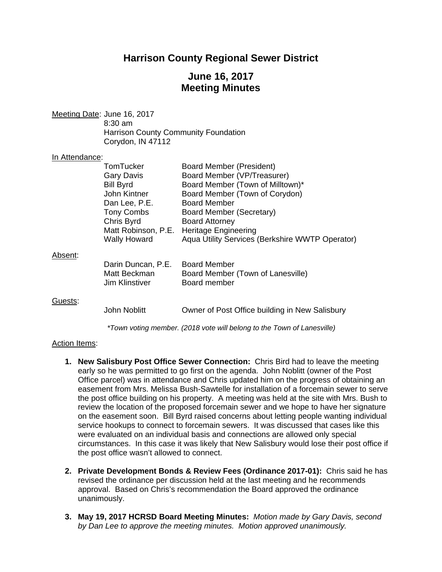# **Harrison County Regional Sewer District**

## **June 16, 2017 Meeting Minutes**

Meeting Date: June 16, 2017 8:30 am Harrison County Community Foundation Corydon, IN 47112

#### In Attendance:

|         | TomTucker             | Board Member (President)                        |
|---------|-----------------------|-------------------------------------------------|
|         | <b>Gary Davis</b>     | Board Member (VP/Treasurer)                     |
|         | <b>Bill Byrd</b>      | Board Member (Town of Milltown)*                |
|         | John Kintner          | Board Member (Town of Corydon)                  |
|         | Dan Lee, P.E.         | Board Member                                    |
|         | <b>Tony Combs</b>     | Board Member (Secretary)                        |
|         | Chris Byrd            | <b>Board Attorney</b>                           |
|         | Matt Robinson, P.E.   | <b>Heritage Engineering</b>                     |
|         | <b>Wally Howard</b>   | Aqua Utility Services (Berkshire WWTP Operator) |
| Absent: |                       |                                                 |
|         | Darin Duncan, P.E.    | <b>Board Member</b>                             |
|         | Matt Beckman          | Board Member (Town of Lanesville)               |
|         | <b>Jim Klinstiver</b> | Board member                                    |
| Guests: |                       |                                                 |
|         | <b>John Noblitt</b>   | Owner of Post Office building in New Salisbury  |

*\*Town voting member. (2018 vote will belong to the Town of Lanesville)* 

### Action Items:

- **1. New Salisbury Post Office Sewer Connection:** Chris Bird had to leave the meeting early so he was permitted to go first on the agenda. John Noblitt (owner of the Post Office parcel) was in attendance and Chris updated him on the progress of obtaining an easement from Mrs. Melissa Bush-Sawtelle for installation of a forcemain sewer to serve the post office building on his property. A meeting was held at the site with Mrs. Bush to review the location of the proposed forcemain sewer and we hope to have her signature on the easement soon. Bill Byrd raised concerns about letting people wanting individual service hookups to connect to forcemain sewers. It was discussed that cases like this were evaluated on an individual basis and connections are allowed only special circumstances. In this case it was likely that New Salisbury would lose their post office if the post office wasn't allowed to connect.
- **2. Private Development Bonds & Review Fees (Ordinance 2017-01):** Chris said he has revised the ordinance per discussion held at the last meeting and he recommends approval. Based on Chris's recommendation the Board approved the ordinance unanimously.
- **3. May 19, 2017 HCRSD Board Meeting Minutes:** *Motion made by Gary Davis, second by Dan Lee to approve the meeting minutes. Motion approved unanimously.*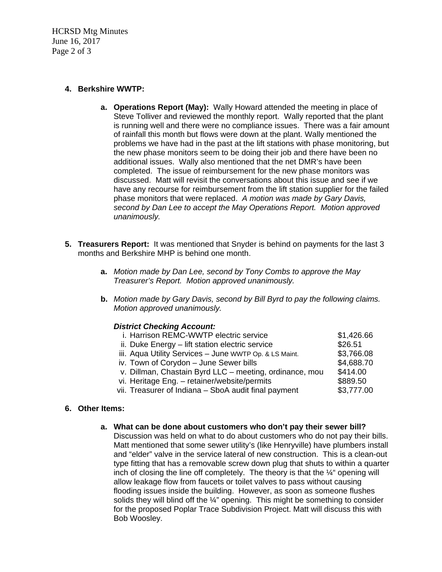HCRSD Mtg Minutes June 16, 2017 Page 2 of 3

### **4. Berkshire WWTP:**

- **a. Operations Report (May):** Wally Howard attended the meeting in place of Steve Tolliver and reviewed the monthly report. Wally reported that the plant is running well and there were no compliance issues. There was a fair amount of rainfall this month but flows were down at the plant. Wally mentioned the problems we have had in the past at the lift stations with phase monitoring, but the new phase monitors seem to be doing their job and there have been no additional issues. Wally also mentioned that the net DMR's have been completed. The issue of reimbursement for the new phase monitors was discussed. Matt will revisit the conversations about this issue and see if we have any recourse for reimbursement from the lift station supplier for the failed phase monitors that were replaced. *A motion was made by Gary Davis, second by Dan Lee to accept the May Operations Report. Motion approved unanimously.*
- **5. Treasurers Report:** It was mentioned that Snyder is behind on payments for the last 3 months and Berkshire MHP is behind one month.
	- **a.** *Motion made by Dan Lee, second by Tony Combs to approve the May Treasurer's Report. Motion approved unanimously.*
	- **b.** *Motion made by Gary Davis, second by Bill Byrd to pay the following claims. Motion approved unanimously.*

## *District Checking Account:*

| i. Harrison REMC-WWTP electric service                  | \$1,426.66 |
|---------------------------------------------------------|------------|
| ii. Duke Energy - lift station electric service         | \$26.51    |
| iii. Aqua Utility Services - June WWTP Op. & LS Maint.  | \$3,766.08 |
| iv. Town of Corydon - June Sewer bills                  | \$4,688.70 |
| v. Dillman, Chastain Byrd LLC - meeting, ordinance, mou | \$414.00   |
| vi. Heritage Eng. - retainer/website/permits            | \$889.50   |
| vii. Treasurer of Indiana - SboA audit final payment    | \$3,777.00 |
|                                                         |            |

## **6. Other Items:**

### **a. What can be done about customers who don't pay their sewer bill?**

Discussion was held on what to do about customers who do not pay their bills. Matt mentioned that some sewer utility's (like Henryville) have plumbers install and "elder" valve in the service lateral of new construction. This is a clean-out type fitting that has a removable screw down plug that shuts to within a quarter inch of closing the line off completely. The theory is that the ¼" opening will allow leakage flow from faucets or toilet valves to pass without causing flooding issues inside the building. However, as soon as someone flushes solids they will blind off the ¼" opening. This might be something to consider for the proposed Poplar Trace Subdivision Project. Matt will discuss this with Bob Woosley.